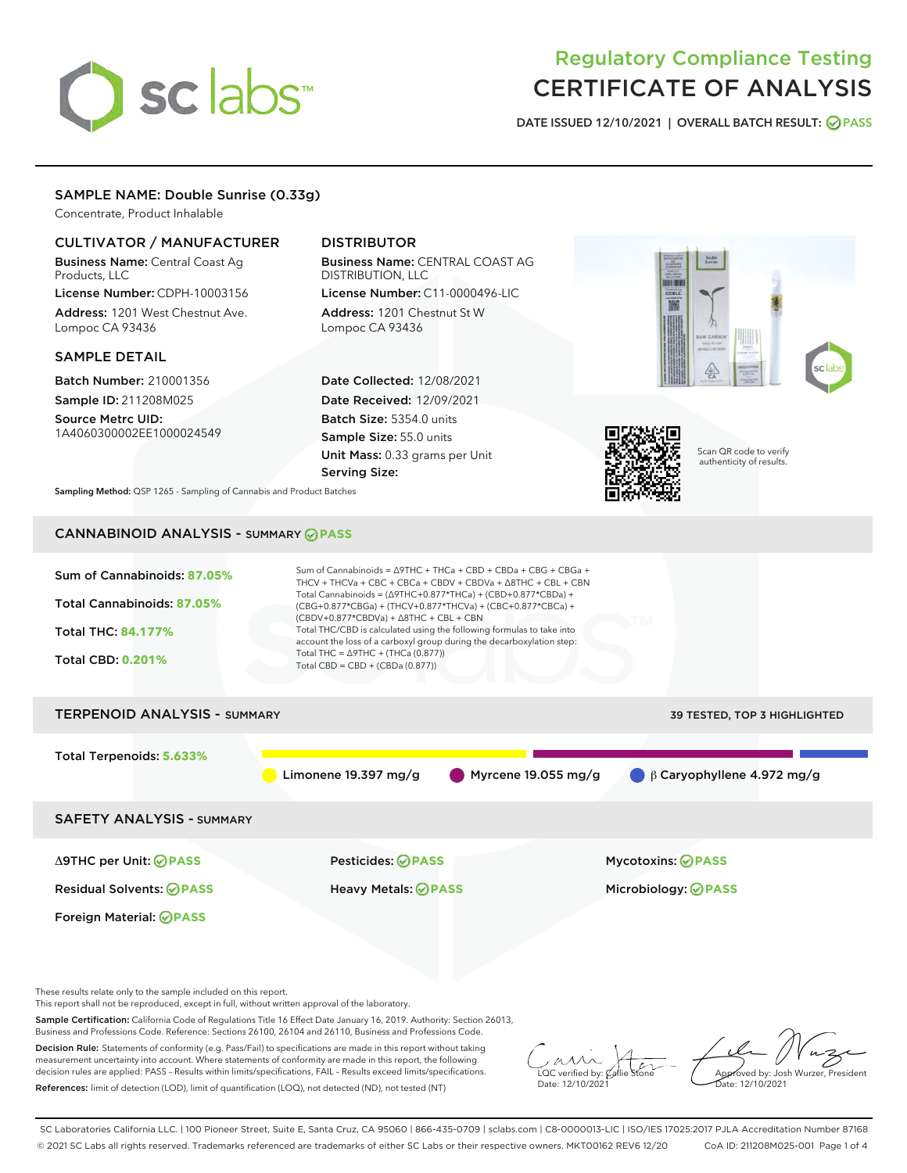# sclabs<sup>\*</sup>

# Regulatory Compliance Testing CERTIFICATE OF ANALYSIS

DATE ISSUED 12/10/2021 | OVERALL BATCH RESULT: @ PASS

# SAMPLE NAME: Double Sunrise (0.33g)

Concentrate, Product Inhalable

# CULTIVATOR / MANUFACTURER

Business Name: Central Coast Ag Products, LLC License Number: CDPH-10003156

Address: 1201 West Chestnut Ave. Lompoc CA 93436

### SAMPLE DETAIL

Batch Number: 210001356 Sample ID: 211208M025

Source Metrc UID: 1A4060300002EE1000024549

# DISTRIBUTOR

Business Name: CENTRAL COAST AG DISTRIBUTION, LLC License Number: C11-0000496-LIC

Address: 1201 Chestnut St W Lompoc CA 93436

Date Collected: 12/08/2021 Date Received: 12/09/2021 Batch Size: 5354.0 units Sample Size: 55.0 units Unit Mass: 0.33 grams per Unit Serving Size:





Scan QR code to verify authenticity of results.

Sampling Method: QSP 1265 - Sampling of Cannabis and Product Batches

# CANNABINOID ANALYSIS - SUMMARY **PASS**

| Sum of Cannabinoids: 87.05%                                         | Sum of Cannabinoids = $\triangle$ 9THC + THCa + CBD + CBDa + CBG + CBGa +<br>THCV + THCVa + CBC + CBCa + CBDV + CBDVa + $\Delta$ 8THC + CBL + CBN                                    |                                                                                                                                                |  |  |  |  |
|---------------------------------------------------------------------|--------------------------------------------------------------------------------------------------------------------------------------------------------------------------------------|------------------------------------------------------------------------------------------------------------------------------------------------|--|--|--|--|
| Total Cannabinoids: 87.05%                                          | Total Cannabinoids = $(\Delta$ 9THC+0.877*THCa) + (CBD+0.877*CBDa) +<br>(CBG+0.877*CBGa) + (THCV+0.877*THCVa) + (CBC+0.877*CBCa) +<br>$(CBDV+0.877*CBDVa) + \Delta 8THC + CBL + CBN$ |                                                                                                                                                |  |  |  |  |
| <b>Total THC: 84.177%</b>                                           |                                                                                                                                                                                      | Total THC/CBD is calculated using the following formulas to take into<br>account the loss of a carboxyl group during the decarboxylation step: |  |  |  |  |
| <b>Total CBD: 0.201%</b>                                            | Total THC = $\triangle$ 9THC + (THCa (0.877))<br>Total CBD = CBD + (CBDa (0.877))                                                                                                    |                                                                                                                                                |  |  |  |  |
| <b>TERPENOID ANALYSIS - SUMMARY</b><br>39 TESTED, TOP 3 HIGHLIGHTED |                                                                                                                                                                                      |                                                                                                                                                |  |  |  |  |
| Total Terpenoids: 5.633%                                            |                                                                                                                                                                                      |                                                                                                                                                |  |  |  |  |
|                                                                     | Limonene 19.397 mg/g                                                                                                                                                                 | Myrcene 19.055 mg/g<br>$\beta$ Caryophyllene 4.972 mg/g                                                                                        |  |  |  |  |
| <b>SAFETY ANALYSIS - SUMMARY</b>                                    |                                                                                                                                                                                      |                                                                                                                                                |  |  |  |  |
| ∆9THC per Unit: ⊘PASS                                               | Pesticides: ⊘PASS                                                                                                                                                                    | <b>Mycotoxins: ⊘PASS</b>                                                                                                                       |  |  |  |  |
| <b>Residual Solvents: ⊘PASS</b>                                     | <b>Heavy Metals: ⊘ PASS</b>                                                                                                                                                          | Microbiology: @PASS                                                                                                                            |  |  |  |  |
| Foreign Material: <b>⊘ PASS</b>                                     |                                                                                                                                                                                      |                                                                                                                                                |  |  |  |  |

These results relate only to the sample included on this report.

This report shall not be reproduced, except in full, without written approval of the laboratory.

Sample Certification: California Code of Regulations Title 16 Effect Date January 16, 2019. Authority: Section 26013, Business and Professions Code. Reference: Sections 26100, 26104 and 26110, Business and Professions Code.

Decision Rule: Statements of conformity (e.g. Pass/Fail) to specifications are made in this report without taking measurement uncertainty into account. Where statements of conformity are made in this report, the following decision rules are applied: PASS – Results within limits/specifications, FAIL – Results exceed limits/specifications. References: limit of detection (LOD), limit of quantification (LOQ), not detected (ND), not tested (NT)

 $\sim$  CC verified by:  $\mathscr{C}$  a Date: 12/10/2021

Approved by: Josh Wurzer, President ate: 12/10/2021

SC Laboratories California LLC. | 100 Pioneer Street, Suite E, Santa Cruz, CA 95060 | 866-435-0709 | sclabs.com | C8-0000013-LIC | ISO/IES 17025:2017 PJLA Accreditation Number 87168 © 2021 SC Labs all rights reserved. Trademarks referenced are trademarks of either SC Labs or their respective owners. MKT00162 REV6 12/20 CoA ID: 211208M025-001 Page 1 of 4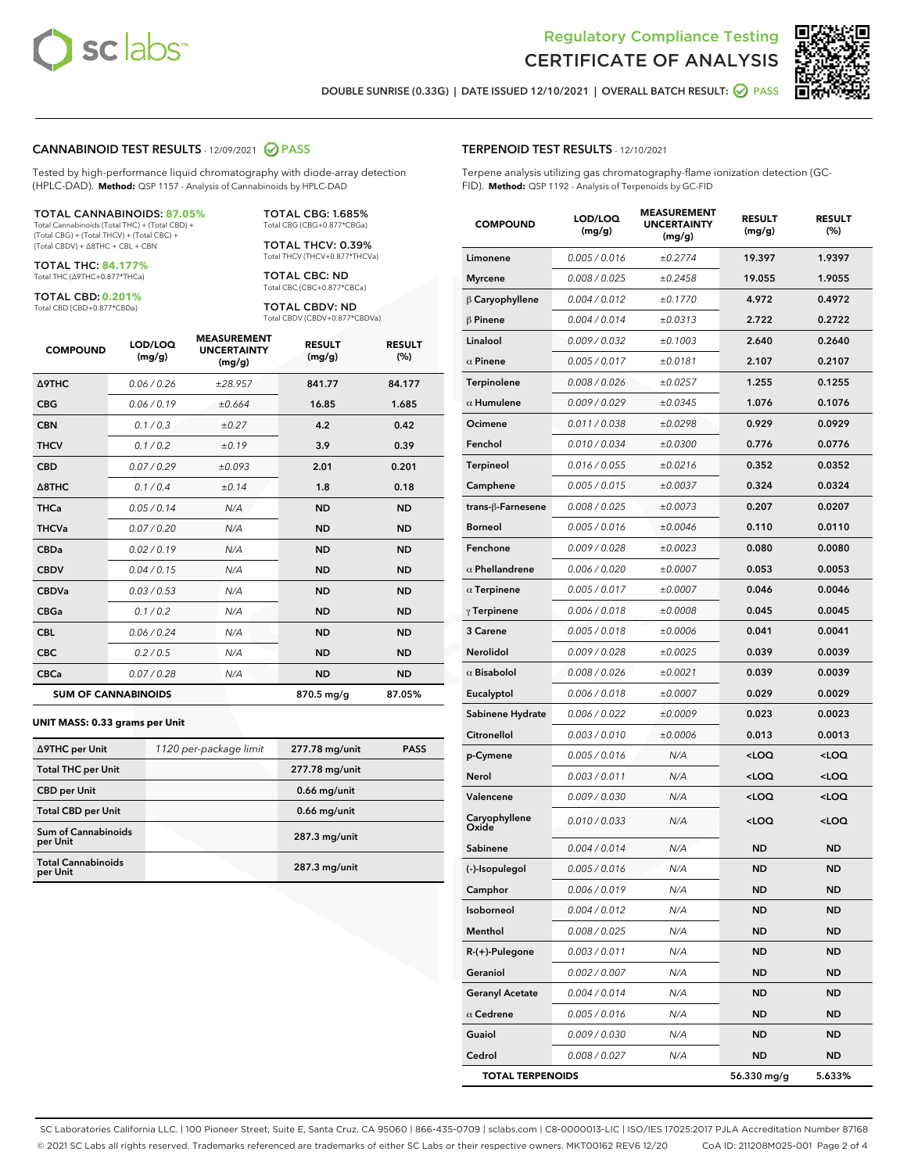



DOUBLE SUNRISE (0.33G) | DATE ISSUED 12/10/2021 | OVERALL BATCH RESULT: @ PASS

#### CANNABINOID TEST RESULTS - 12/09/2021 2 PASS

Tested by high-performance liquid chromatography with diode-array detection (HPLC-DAD). **Method:** QSP 1157 - Analysis of Cannabinoids by HPLC-DAD

#### TOTAL CANNABINOIDS: **87.05%**

Total Cannabinoids (Total THC) + (Total CBD) + (Total CBG) + (Total THCV) + (Total CBC) + (Total CBDV) + ∆8THC + CBL + CBN

TOTAL THC: **84.177%** Total THC (∆9THC+0.877\*THCa)

TOTAL CBD: **0.201%**

Total CBD (CBD+0.877\*CBDa)

TOTAL CBG: 1.685% Total CBG (CBG+0.877\*CBGa)

TOTAL THCV: 0.39% Total THCV (THCV+0.877\*THCVa)

TOTAL CBC: ND Total CBC (CBC+0.877\*CBCa)

TOTAL CBDV: ND Total CBDV (CBDV+0.877\*CBDVa)

| <b>COMPOUND</b>            | LOD/LOQ<br>(mg/g) | <b>MEASUREMENT</b><br><b>UNCERTAINTY</b><br>(mg/g) | <b>RESULT</b><br>(mg/g) | <b>RESULT</b><br>(%) |
|----------------------------|-------------------|----------------------------------------------------|-------------------------|----------------------|
| <b>A9THC</b>               | 0.06/0.26         | ±28.957                                            | 841.77                  | 84.177               |
| <b>CBG</b>                 | 0.06/0.19         | ±0.664                                             | 16.85                   | 1.685                |
| <b>CBN</b>                 | 0.1/0.3           | ±0.27                                              | 4.2                     | 0.42                 |
| <b>THCV</b>                | 0.1/0.2           | ±0.19                                              | 3.9                     | 0.39                 |
| <b>CBD</b>                 | 0.07/0.29         | ±0.093                                             | 2.01                    | 0.201                |
| $\triangle$ 8THC           | 0.1 / 0.4         | ±0.14                                              | 1.8                     | 0.18                 |
| <b>THCa</b>                | 0.05/0.14         | N/A                                                | <b>ND</b>               | <b>ND</b>            |
| <b>THCVa</b>               | 0.07/0.20         | N/A                                                | <b>ND</b>               | <b>ND</b>            |
| <b>CBDa</b>                | 0.02/0.19         | N/A                                                | <b>ND</b>               | <b>ND</b>            |
| <b>CBDV</b>                | 0.04 / 0.15       | N/A                                                | <b>ND</b>               | <b>ND</b>            |
| <b>CBDVa</b>               | 0.03 / 0.53       | N/A                                                | <b>ND</b>               | <b>ND</b>            |
| <b>CBGa</b>                | 0.1/0.2           | N/A                                                | <b>ND</b>               | <b>ND</b>            |
| <b>CBL</b>                 | 0.06 / 0.24       | N/A                                                | <b>ND</b>               | <b>ND</b>            |
| <b>CBC</b>                 | 0.2 / 0.5         | N/A                                                | <b>ND</b>               | <b>ND</b>            |
| <b>CBCa</b>                | 0.07/0.28         | N/A                                                | <b>ND</b>               | <b>ND</b>            |
| <b>SUM OF CANNABINOIDS</b> |                   |                                                    | 870.5 mg/g              | 87.05%               |

#### **UNIT MASS: 0.33 grams per Unit**

| ∆9THC per Unit                         | 1120 per-package limit | 277.78 mg/unit | <b>PASS</b> |
|----------------------------------------|------------------------|----------------|-------------|
| <b>Total THC per Unit</b>              |                        | 277.78 mg/unit |             |
| <b>CBD</b> per Unit                    |                        | $0.66$ mg/unit |             |
| <b>Total CBD per Unit</b>              |                        | $0.66$ mg/unit |             |
| <b>Sum of Cannabinoids</b><br>per Unit |                        | 287.3 mg/unit  |             |
| <b>Total Cannabinoids</b><br>per Unit  |                        | 287.3 mg/unit  |             |

| <b>COMPOUND</b>         | LOD/LOQ<br>(mg/g) | <b>MEASUREMENT</b><br><b>UNCERTAINTY</b><br>(mg/g) | <b>RESULT</b><br>(mg/g)                         | <b>RESULT</b><br>(%) |
|-------------------------|-------------------|----------------------------------------------------|-------------------------------------------------|----------------------|
| Limonene                | 0.005 / 0.016     | ±0.2774                                            | 19.397                                          | 1.9397               |
| <b>Myrcene</b>          | 0.008 / 0.025     | ±0.2458                                            | 19.055                                          | 1.9055               |
| β Caryophyllene         | 0.004 / 0.012     | ±0.1770                                            | 4.972                                           | 0.4972               |
| $\beta$ Pinene          | 0.004 / 0.014     | ±0.0313                                            | 2.722                                           | 0.2722               |
| Linalool                | 0.009 / 0.032     | ±0.1003                                            | 2.640                                           | 0.2640               |
| $\alpha$ Pinene         | 0.005 / 0.017     | ±0.0181                                            | 2.107                                           | 0.2107               |
| Terpinolene             | 0.008 / 0.026     | ±0.0257                                            | 1.255                                           | 0.1255               |
| $\alpha$ Humulene       | 0.009/0.029       | ±0.0345                                            | 1.076                                           | 0.1076               |
| Ocimene                 | 0.011 / 0.038     | ±0.0298                                            | 0.929                                           | 0.0929               |
| Fenchol                 | 0.010 / 0.034     | ±0.0300                                            | 0.776                                           | 0.0776               |
| Terpineol               | 0.016 / 0.055     | ±0.0216                                            | 0.352                                           | 0.0352               |
| Camphene                | 0.005 / 0.015     | ±0.0037                                            | 0.324                                           | 0.0324               |
| trans-ß-Farnesene       | 0.008 / 0.025     | ±0.0073                                            | 0.207                                           | 0.0207               |
| <b>Borneol</b>          | 0.005 / 0.016     | ±0.0046                                            | 0.110                                           | 0.0110               |
| Fenchone                | 0.009 / 0.028     | ±0.0023                                            | 0.080                                           | 0.0080               |
| $\alpha$ Phellandrene   | 0.006 / 0.020     | ±0.0007                                            | 0.053                                           | 0.0053               |
| $\alpha$ Terpinene      | 0.005 / 0.017     | ±0.0007                                            | 0.046                                           | 0.0046               |
| $\gamma$ Terpinene      | 0.006 / 0.018     | ±0.0008                                            | 0.045                                           | 0.0045               |
| 3 Carene                | 0.005 / 0.018     | ±0.0006                                            | 0.041                                           | 0.0041               |
| Nerolidol               | 0.009 / 0.028     | ±0.0025                                            | 0.039                                           | 0.0039               |
| $\alpha$ Bisabolol      | 0.008 / 0.026     | ±0.0021                                            | 0.039                                           | 0.0039               |
| Eucalyptol              | 0.006 / 0.018     | ±0.0007                                            | 0.029                                           | 0.0029               |
| Sabinene Hydrate        | 0.006 / 0.022     | ±0.0009                                            | 0.023                                           | 0.0023               |
| Citronellol             | 0.003 / 0.010     | ±0.0006                                            | 0.013                                           | 0.0013               |
| p-Cymene                | 0.005 / 0.016     | N/A                                                | <loq< th=""><th><loq< th=""></loq<></th></loq<> | <loq< th=""></loq<>  |
| Nerol                   | 0.003 / 0.011     | N/A                                                | <loq< th=""><th><loq< th=""></loq<></th></loq<> | <loq< th=""></loq<>  |
| Valencene               | 0.009 / 0.030     | N/A                                                | <loq< th=""><th><loq< th=""></loq<></th></loq<> | <loq< th=""></loq<>  |
| Caryophyllene<br>Oxide  | 0.010 / 0.033     | N/A                                                | <loq< th=""><th><loq< th=""></loq<></th></loq<> | <loq< th=""></loq<>  |
| Sabinene                | 0.004 / 0.014     | N/A                                                | <b>ND</b>                                       | <b>ND</b>            |
| (-)-Isopulegol          | 0.005 / 0.016     | N/A                                                | ND                                              | ND                   |
| Camphor                 | 0.006 / 0.019     | N/A                                                | ND                                              | <b>ND</b>            |
| Isoborneol              | 0.004 / 0.012     | N/A                                                | ND                                              | ND                   |
| Menthol                 | 0.008 / 0.025     | N/A                                                | <b>ND</b>                                       | ND                   |
| R-(+)-Pulegone          | 0.003 / 0.011     | N/A                                                | <b>ND</b>                                       | ND                   |
| Geraniol                | 0.002 / 0.007     | N/A                                                | ND                                              | <b>ND</b>            |
| <b>Geranyl Acetate</b>  | 0.004 / 0.014     | N/A                                                | <b>ND</b>                                       | ND                   |
| $\alpha$ Cedrene        | 0.005 / 0.016     | N/A                                                | <b>ND</b>                                       | ND                   |
| Guaiol                  | 0.009 / 0.030     | N/A                                                | ND                                              | ND                   |
| Cedrol                  | 0.008 / 0.027     | N/A                                                | <b>ND</b>                                       | ND                   |
| <b>TOTAL TERPENOIDS</b> |                   |                                                    | 56.330 mg/g                                     | 5.633%               |

SC Laboratories California LLC. | 100 Pioneer Street, Suite E, Santa Cruz, CA 95060 | 866-435-0709 | sclabs.com | C8-0000013-LIC | ISO/IES 17025:2017 PJLA Accreditation Number 87168 © 2021 SC Labs all rights reserved. Trademarks referenced are trademarks of either SC Labs or their respective owners. MKT00162 REV6 12/20 CoA ID: 211208M025-001 Page 2 of 4

# TERPENOID TEST RESULTS - 12/10/2021

Terpene analysis utilizing gas chromatography-flame ionization detection (GC-FID). **Method:** QSP 1192 - Analysis of Terpenoids by GC-FID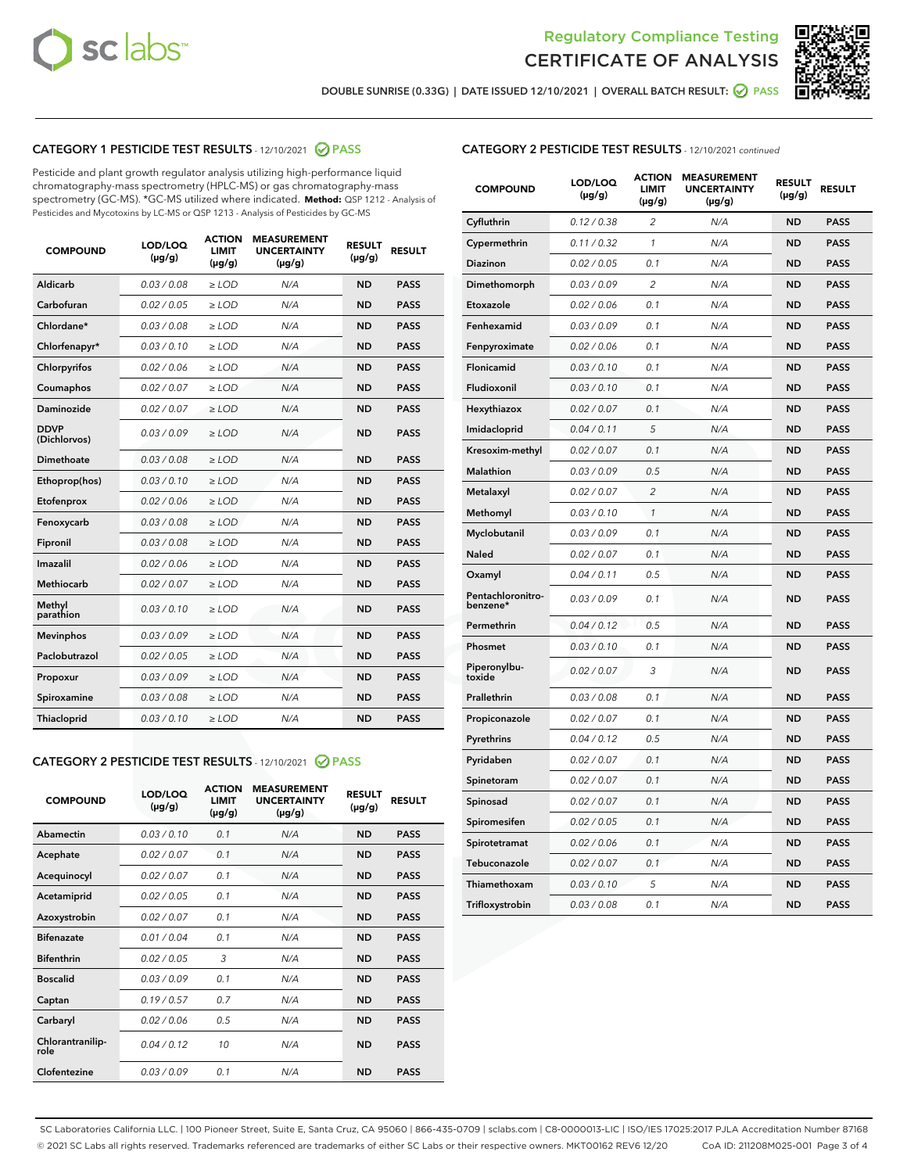



DOUBLE SUNRISE (0.33G) | DATE ISSUED 12/10/2021 | OVERALL BATCH RESULT: ☑ PASS

#### CATEGORY 1 PESTICIDE TEST RESULTS - 12/10/2021 @ PASS

Pesticide and plant growth regulator analysis utilizing high-performance liquid chromatography-mass spectrometry (HPLC-MS) or gas chromatography-mass spectrometry (GC-MS). \*GC-MS utilized where indicated. **Method:** QSP 1212 - Analysis of Pesticides and Mycotoxins by LC-MS or QSP 1213 - Analysis of Pesticides by GC-MS

| <b>COMPOUND</b>             | LOD/LOQ<br>$(\mu g/g)$ | <b>ACTION</b><br><b>LIMIT</b><br>$(\mu q/q)$ | <b>MEASUREMENT</b><br><b>UNCERTAINTY</b><br>$(\mu g/g)$ | <b>RESULT</b><br>$(\mu g/g)$ | <b>RESULT</b> |
|-----------------------------|------------------------|----------------------------------------------|---------------------------------------------------------|------------------------------|---------------|
| Aldicarb                    | 0.03 / 0.08            | $\ge$ LOD                                    | N/A                                                     | <b>ND</b>                    | <b>PASS</b>   |
| Carbofuran                  | 0.02 / 0.05            | $\ge$ LOD                                    | N/A                                                     | <b>ND</b>                    | <b>PASS</b>   |
| Chlordane*                  | 0.03 / 0.08            | $\ge$ LOD                                    | N/A                                                     | <b>ND</b>                    | <b>PASS</b>   |
| Chlorfenapyr*               | 0.03/0.10              | $\ge$ LOD                                    | N/A                                                     | <b>ND</b>                    | <b>PASS</b>   |
| Chlorpyrifos                | 0.02 / 0.06            | $\ge$ LOD                                    | N/A                                                     | <b>ND</b>                    | <b>PASS</b>   |
| Coumaphos                   | 0.02 / 0.07            | $\ge$ LOD                                    | N/A                                                     | <b>ND</b>                    | <b>PASS</b>   |
| Daminozide                  | 0.02 / 0.07            | $\ge$ LOD                                    | N/A                                                     | <b>ND</b>                    | <b>PASS</b>   |
| <b>DDVP</b><br>(Dichlorvos) | 0.03/0.09              | $>$ LOD                                      | N/A                                                     | <b>ND</b>                    | <b>PASS</b>   |
| Dimethoate                  | 0.03 / 0.08            | $\ge$ LOD                                    | N/A                                                     | <b>ND</b>                    | <b>PASS</b>   |
| Ethoprop(hos)               | 0.03/0.10              | $\ge$ LOD                                    | N/A                                                     | <b>ND</b>                    | <b>PASS</b>   |
| Etofenprox                  | 0.02/0.06              | $>$ LOD                                      | N/A                                                     | <b>ND</b>                    | <b>PASS</b>   |
| Fenoxycarb                  | 0.03 / 0.08            | $\ge$ LOD                                    | N/A                                                     | <b>ND</b>                    | <b>PASS</b>   |
| Fipronil                    | 0.03/0.08              | $>$ LOD                                      | N/A                                                     | <b>ND</b>                    | <b>PASS</b>   |
| Imazalil                    | 0.02 / 0.06            | $\ge$ LOD                                    | N/A                                                     | <b>ND</b>                    | <b>PASS</b>   |
| Methiocarb                  | 0.02 / 0.07            | $\ge$ LOD                                    | N/A                                                     | <b>ND</b>                    | <b>PASS</b>   |
| Methyl<br>parathion         | 0.03/0.10              | $>$ LOD                                      | N/A                                                     | <b>ND</b>                    | <b>PASS</b>   |
| <b>Mevinphos</b>            | 0.03/0.09              | $>$ LOD                                      | N/A                                                     | <b>ND</b>                    | <b>PASS</b>   |
| Paclobutrazol               | 0.02 / 0.05            | $\ge$ LOD                                    | N/A                                                     | <b>ND</b>                    | <b>PASS</b>   |
| Propoxur                    | 0.03 / 0.09            | $\ge$ LOD                                    | N/A                                                     | <b>ND</b>                    | <b>PASS</b>   |
| Spiroxamine                 | 0.03 / 0.08            | $\ge$ LOD                                    | N/A                                                     | <b>ND</b>                    | <b>PASS</b>   |
| Thiacloprid                 | 0.03/0.10              | $\ge$ LOD                                    | N/A                                                     | <b>ND</b>                    | <b>PASS</b>   |

#### CATEGORY 2 PESTICIDE TEST RESULTS - 12/10/2021 @ PASS

| <b>COMPOUND</b>          | LOD/LOO<br>$(\mu g/g)$ | <b>ACTION</b><br>LIMIT<br>$(\mu g/g)$ | <b>MEASUREMENT</b><br><b>UNCERTAINTY</b><br>$(\mu g/g)$ | <b>RESULT</b><br>$(\mu g/g)$ | <b>RESULT</b> |  |
|--------------------------|------------------------|---------------------------------------|---------------------------------------------------------|------------------------------|---------------|--|
| Abamectin                | 0.03/0.10              | 0.1                                   | N/A                                                     | <b>ND</b>                    | <b>PASS</b>   |  |
| Acephate                 | 0.02/0.07              | 0.1                                   | N/A                                                     | <b>ND</b>                    | <b>PASS</b>   |  |
| Acequinocyl              | 0.02/0.07              | 0.1                                   | N/A                                                     | <b>ND</b>                    | <b>PASS</b>   |  |
| Acetamiprid              | 0.02 / 0.05            | 0.1                                   | N/A                                                     | <b>ND</b>                    | <b>PASS</b>   |  |
| Azoxystrobin             | 0.02/0.07              | 0.1                                   | N/A                                                     | <b>ND</b>                    | <b>PASS</b>   |  |
| <b>Bifenazate</b>        | 0.01 / 0.04            | 0.1                                   | N/A                                                     | <b>ND</b>                    | <b>PASS</b>   |  |
| <b>Bifenthrin</b>        | 0.02 / 0.05            | 3                                     | N/A                                                     | <b>ND</b>                    | <b>PASS</b>   |  |
| <b>Boscalid</b>          | 0.03/0.09              | 0.1                                   | N/A                                                     | <b>ND</b>                    | <b>PASS</b>   |  |
| Captan                   | 0.19/0.57              | 0.7                                   | N/A                                                     | <b>ND</b>                    | <b>PASS</b>   |  |
| Carbaryl                 | 0.02/0.06              | 0.5                                   | N/A                                                     | <b>ND</b>                    | <b>PASS</b>   |  |
| Chlorantranilip-<br>role | 0.04/0.12              | 10                                    | N/A                                                     | <b>ND</b>                    | <b>PASS</b>   |  |
| Clofentezine             | 0.03/0.09              | 0.1                                   | N/A                                                     | <b>ND</b>                    | <b>PASS</b>   |  |

# CATEGORY 2 PESTICIDE TEST RESULTS - 12/10/2021 continued

| <b>COMPOUND</b>               | LOD/LOQ<br>(µg/g) | <b>ACTION</b><br><b>LIMIT</b><br>$(\mu g/g)$ | <b>MEASUREMENT</b><br><b>UNCERTAINTY</b><br>(µg/g) | <b>RESULT</b><br>$(\mu g/g)$ | <b>RESULT</b> |
|-------------------------------|-------------------|----------------------------------------------|----------------------------------------------------|------------------------------|---------------|
| Cyfluthrin                    | 0.12 / 0.38       | $\overline{c}$                               | N/A                                                | <b>ND</b>                    | <b>PASS</b>   |
| Cypermethrin                  | 0.11 / 0.32       | 1                                            | N/A                                                | <b>ND</b>                    | <b>PASS</b>   |
| <b>Diazinon</b>               | 0.02 / 0.05       | 0.1                                          | N/A                                                | <b>ND</b>                    | <b>PASS</b>   |
| Dimethomorph                  | 0.03 / 0.09       | 2                                            | N/A                                                | <b>ND</b>                    | <b>PASS</b>   |
| Etoxazole                     | 0.02 / 0.06       | 0.1                                          | N/A                                                | <b>ND</b>                    | <b>PASS</b>   |
| Fenhexamid                    | 0.03 / 0.09       | 0.1                                          | N/A                                                | <b>ND</b>                    | <b>PASS</b>   |
| Fenpyroximate                 | 0.02 / 0.06       | 0.1                                          | N/A                                                | <b>ND</b>                    | <b>PASS</b>   |
| Flonicamid                    | 0.03 / 0.10       | 0.1                                          | N/A                                                | <b>ND</b>                    | <b>PASS</b>   |
| Fludioxonil                   | 0.03 / 0.10       | 0.1                                          | N/A                                                | <b>ND</b>                    | <b>PASS</b>   |
| Hexythiazox                   | 0.02 / 0.07       | 0.1                                          | N/A                                                | <b>ND</b>                    | <b>PASS</b>   |
| Imidacloprid                  | 0.04 / 0.11       | 5                                            | N/A                                                | <b>ND</b>                    | <b>PASS</b>   |
| Kresoxim-methyl               | 0.02 / 0.07       | 0.1                                          | N/A                                                | <b>ND</b>                    | <b>PASS</b>   |
| Malathion                     | 0.03 / 0.09       | 0.5                                          | N/A                                                | <b>ND</b>                    | <b>PASS</b>   |
| Metalaxyl                     | 0.02 / 0.07       | $\overline{c}$                               | N/A                                                | <b>ND</b>                    | <b>PASS</b>   |
| Methomyl                      | 0.03 / 0.10       | $\mathcal{I}$                                | N/A                                                | <b>ND</b>                    | <b>PASS</b>   |
| Myclobutanil                  | 0.03 / 0.09       | 0.1                                          | N/A                                                | <b>ND</b>                    | <b>PASS</b>   |
| Naled                         | 0.02 / 0.07       | 0.1                                          | N/A                                                | <b>ND</b>                    | <b>PASS</b>   |
| Oxamyl                        | 0.04 / 0.11       | 0.5                                          | N/A                                                | ND                           | <b>PASS</b>   |
| Pentachloronitro-<br>benzene* | 0.03 / 0.09       | 0.1                                          | N/A                                                | <b>ND</b>                    | <b>PASS</b>   |
| Permethrin                    | 0.04 / 0.12       | 0.5                                          | N/A                                                | <b>ND</b>                    | <b>PASS</b>   |
| Phosmet                       | 0.03 / 0.10       | 0.1                                          | N/A                                                | <b>ND</b>                    | <b>PASS</b>   |
| Piperonylbu-<br>toxide        | 0.02 / 0.07       | 3                                            | N/A                                                | <b>ND</b>                    | <b>PASS</b>   |
| Prallethrin                   | 0.03 / 0.08       | 0.1                                          | N/A                                                | <b>ND</b>                    | <b>PASS</b>   |
| Propiconazole                 | 0.02 / 0.07       | 0.1                                          | N/A                                                | <b>ND</b>                    | <b>PASS</b>   |
| Pyrethrins                    | 0.04 / 0.12       | 0.5                                          | N/A                                                | <b>ND</b>                    | <b>PASS</b>   |
| Pyridaben                     | 0.02 / 0.07       | 0.1                                          | N/A                                                | <b>ND</b>                    | <b>PASS</b>   |
| Spinetoram                    | 0.02 / 0.07       | 0.1                                          | N/A                                                | <b>ND</b>                    | <b>PASS</b>   |
| Spinosad                      | 0.02 / 0.07       | 0.1                                          | N/A                                                | <b>ND</b>                    | <b>PASS</b>   |
| Spiromesifen                  | 0.02 / 0.05       | 0.1                                          | N/A                                                | <b>ND</b>                    | <b>PASS</b>   |
| Spirotetramat                 | 0.02 / 0.06       | 0.1                                          | N/A                                                | <b>ND</b>                    | <b>PASS</b>   |
| Tebuconazole                  | 0.02 / 0.07       | 0.1                                          | N/A                                                | <b>ND</b>                    | <b>PASS</b>   |
| Thiamethoxam                  | 0.03 / 0.10       | 5                                            | N/A                                                | <b>ND</b>                    | <b>PASS</b>   |
| Trifloxystrobin               | 0.03 / 0.08       | 0.1                                          | N/A                                                | <b>ND</b>                    | <b>PASS</b>   |

SC Laboratories California LLC. | 100 Pioneer Street, Suite E, Santa Cruz, CA 95060 | 866-435-0709 | sclabs.com | C8-0000013-LIC | ISO/IES 17025:2017 PJLA Accreditation Number 87168 © 2021 SC Labs all rights reserved. Trademarks referenced are trademarks of either SC Labs or their respective owners. MKT00162 REV6 12/20 CoA ID: 211208M025-001 Page 3 of 4